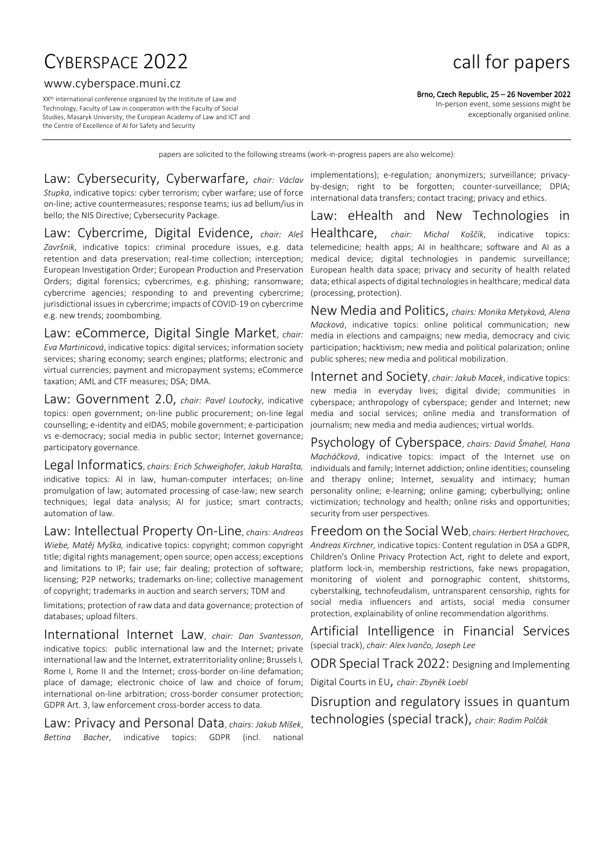# CYBERSPACE 2022 **call for papers**

#### www.cyberspace.muni.cz

XX th international conference organized by the Institute of Law and Technology, Faculty of Law in cooperation with the Faculty of Social Studies, Masaryk University, the European Academy of Law and ICT and the Centre of Excellence of AI for Safety and Security

Brno, Czech Republic, 25 – 26 November 2022

In-person event, some sessions might be exceptionally organised online.

papers are solicited to the following streams (work-in-progress papers are also welcome):

Law: Cybersecurity, Cyberwarfare, *chair: Václav Stupka*, indicative topics: cyber terrorism; cyber warfare; use of force on-line; active countermeasures; response teams; ius ad bellum/ius in bello; the NIS Directive; Cybersecurity Package.

Law: Cybercrime, Digital Evidence, *chair: Aleš Završnik*, indicative topics: criminal procedure issues, e.g. data retention and data preservation; real-time collection; interception; European Investigation Order; European Production and Preservation Orders; digital forensics; cybercrimes, e.g. phishing; ransomware; cybercrime agencies; responding to and preventing cybercrime; jurisdictional issues in cybercrime; impacts of COVID-19 on cybercrime e.g. new trends; zoombombing.

Law: eCommerce, Digital Single Market, *chair: Eva Martinicová*, indicative topics: digital services; information society services; sharing economy; search engines; platforms; electronic and virtual currencies; payment and micropayment systems; eCommerce taxation; AML and CTF measures; DSA; DMA.

Law: Government 2.0, *chair: Pavel Loutocky*, indicative topics: open government; on-line public procurement; on-line legal counselling; e-identity and eIDAS; mobile government; e-participation vs e-democracy; social media in public sector; Internet governance; participatory governance.

Legal Informatics, *chairs: Erich Schweighofer, Jakub Harašta,* indicative topics: AI in law, human-computer interfaces; on-line promulgation of law; automated processing of case-law; new search techniques; legal data analysis; AI for justice; smart contracts; automation of law.

Law: Intellectual Property On-Line, *chairs: Andreas Wiebe, Matěj Myška,* indicative topics: copyright; common copyright title; digital rights management; open source; open access; exceptions and limitations to IP; fair use; fair dealing; protection of software; licensing; P2P networks; trademarks on-line; collective management of copyright; trademarks in auction and search servers; TDM and

limitations; protection of raw data and data governance; protection of databases; upload filters.

International Internet Law, *chair: Dan Svantesson*, indicative topics: public international law and the Internet; private international law and the Internet, extraterritoriality online; Brussels I, Rome I, Rome II and the Internet; cross-border on-line defamation; place of damage; electronic choice of law and choice of forum; international on-line arbitration; cross-border consumer protection; GDPR Art. 3, law enforcement cross-border access to data.

Law: Privacy and Personal Data, *chairs: Jakub Míšek*, *Bettina Bacher*, indicative topics: GDPR (incl. national

implementations); e-regulation; anonymizers; surveillance; privacyby-design; right to be forgotten; counter-surveillance; DPIA; international data transfers; contact tracing; privacy and ethics.

# Law: eHealth and New Technologies in

Healthcare, *chair: Michal Koščík*, indicative topics: telemedicine; health apps; AI in healthcare; software and AI as a medical device; digital technologies in pandemic surveillance; European health data space; privacy and security of health related data; ethical aspects of digital technologies in healthcare; medical data (processing, protection).

New Media and Politics, *chairs: Monika Metyková, Alena Macková*, indicative topics: online political communication; new media in elections and campaigns; new media, democracy and civic participation; hacktivism; new media and political polarization; online public spheres; new media and political mobilization.

Internet and Society, *chair: Jakub Macek*, indicative topics: new media in everyday lives; digital divide; communities in cyberspace; anthropology of cyberspace; gender and Internet; new media and social services; online media and transformation of journalism; new media and media audiences; virtual worlds.

Psychology of Cyberspace, *chairs: David Šmahel, Hana Macháčková*, indicative topics: impact of the Internet use on individuals and family; Internet addiction; online identities; counseling and therapy online; Internet, sexuality and intimacy; human personality online; e-learning; online gaming; cyberbullying; online victimization; technology and health; online risks and opportunities; security from user perspectives.

Freedom on the Social Web, *chairs: Herbert Hrachovec, Andreas Kirchner,* indicative topics: Content regulation in DSA a GDPR, Children's Online Privacy Protection Act, right to delete and export, platform lock-in, membership restrictions, fake news propagation, monitoring of violent and pornographic content, shitstorms, cyberstalking, technofeudalism, untransparent censorship, rights for social media influencers and artists, social media consumer protection, explainability of online recommendation algorithms.

Artificial Intelligence in Financial Services (special track), *chair: Alex Ivančo, Joseph Lee*

ODR Special Track 2022: Designing and Implementing

Digital Courts in EU, *chair: Zbyněk Loebl*

Disruption and regulatory issues in quantum technologies (special track), *chair: Radim Polčák*